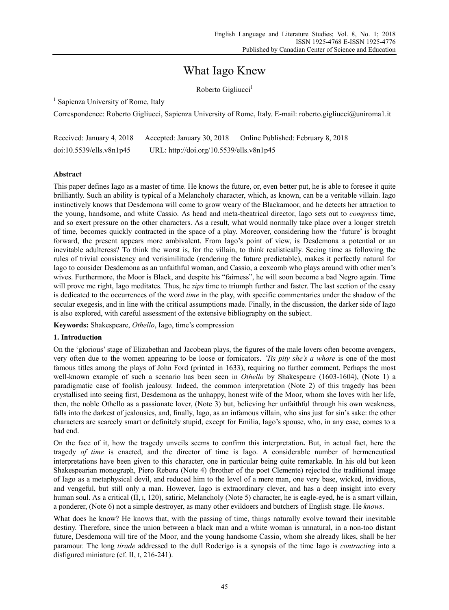# What Iago Knew

Roberto Gigliucci<sup>1</sup>

<sup>1</sup> Sapienza University of Rome, Italy

Correspondence: Roberto Gigliucci, Sapienza University of Rome, Italy. E-mail: roberto.gigliucci@uniroma1.it

| Received: January 4, 2018 | Accepted: January 30, 2018               | Online Published: February 8, 2018 |
|---------------------------|------------------------------------------|------------------------------------|
| doi:10.5539/ells.v8n1p45  | URL: http://doi.org/10.5539/ells.v8n1p45 |                                    |

## **Abstract**

This paper defines Iago as a master of time. He knows the future, or, even better put, he is able to foresee it quite brilliantly. Such an ability is typical of a Melancholy character, which, as known, can be a veritable villain. Iago instinctively knows that Desdemona will come to grow weary of the Blackamoor, and he detects her attraction to the young, handsome, and white Cassio. As head and meta-theatrical director, Iago sets out to *compress* time, and so exert pressure on the other characters. As a result, what would normally take place over a longer stretch of time, becomes quickly contracted in the space of a play. Moreover, considering how the 'future' is brought forward, the present appears more ambivalent. From Iago's point of view, is Desdemona a potential or an inevitable adulteress? To think the worst is, for the villain, to think realistically. Seeing time as following the rules of trivial consistency and verisimilitude (rendering the future predictable), makes it perfectly natural for Iago to consider Desdemona as an unfaithful woman, and Cassio, a coxcomb who plays around with other men's wives. Furthermore, the Moor is Black, and despite his "fairness", he will soon become a bad Negro again. Time will prove me right, Iago meditates. Thus, he *zips* time to triumph further and faster. The last section of the essay is dedicated to the occurrences of the word *time* in the play, with specific commentaries under the shadow of the secular exegesis, and in line with the critical assumptions made. Finally, in the discussion, the darker side of Iago is also explored, with careful assessment of the extensive bibliography on the subject.

**Keywords:** Shakespeare, *Othello*, Iago, time's compression

#### **1. Introduction**

On the 'glorious' stage of Elizabethan and Jacobean plays, the figures of the male lovers often become avengers, very often due to the women appearing to be loose or fornicators. *'Tis pity she's a whore* is one of the most famous titles among the plays of John Ford (printed in 1633), requiring no further comment. Perhaps the most well-known example of such a scenario has been seen in *Othello* by Shakespeare (1603-1604), (Note 1) a paradigmatic case of foolish jealousy. Indeed, the common interpretation (Note 2) of this tragedy has been crystallised into seeing first, Desdemona as the unhappy, honest wife of the Moor, whom she loves with her life, then, the noble Othello as a passionate lover, (Note 3) but, believing her unfaithful through his own weakness, falls into the darkest of jealousies, and, finally, Iago, as an infamous villain, who sins just for sin's sake: the other characters are scarcely smart or definitely stupid, except for Emilia, Iago's spouse, who, in any case, comes to a bad end.

On the face of it, how the tragedy unveils seems to confirm this interpretation**.** But, in actual fact, here the tragedy *of time* is enacted, and the director of time is Iago. A considerable number of hermeneutical interpretations have been given to this character, one in particular being quite remarkable. In his old but keen Shakespearian monograph, Piero Rebora (Note 4) (brother of the poet Clemente) rejected the traditional image of Iago as a metaphysical devil, and reduced him to the level of a mere man, one very base, wicked, invidious, and vengeful, but still only a man. However, Iago is extraordinary clever, and has a deep insight into every human soul. As a critical (II, I, 120), satiric, Melancholy (Note 5) character, he is eagle-eyed, he is a smart villain, a ponderer, (Note 6) not a simple destroyer, as many other evildoers and butchers of English stage. He *knows*.

What does he know? He knows that, with the passing of time, things naturally evolve toward their inevitable destiny. Therefore, since the union between a black man and a white woman is unnatural, in a non-too distant future, Desdemona will tire of the Moor, and the young handsome Cassio, whom she already likes, shall be her paramour. The long *tirade* addressed to the dull Roderigo is a synopsis of the time Iago is *contracting* into a disfigured miniature (cf. II, I, 216-241).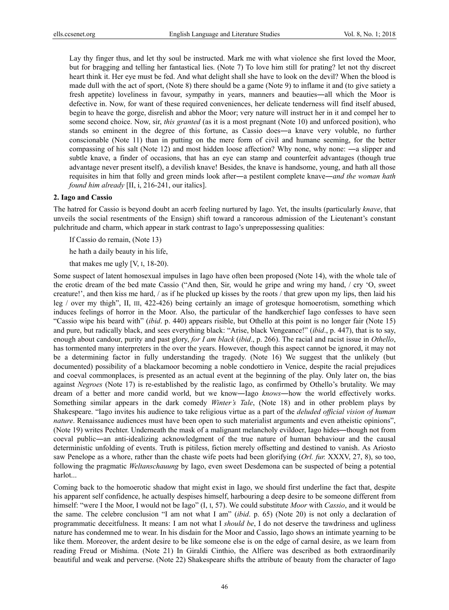Lay thy finger thus, and let thy soul be instructed. Mark me with what violence she first loved the Moor, but for bragging and telling her fantastical lies. (Note 7) To love him still for prating? let not thy discreet heart think it. Her eye must be fed. And what delight shall she have to look on the devil? When the blood is made dull with the act of sport, (Note 8) there should be a game (Note 9) to inflame it and (to give satiety a fresh appetite) loveliness in favour, sympathy in years, manners and beauties―all which the Moor is defective in. Now, for want of these required conveniences, her delicate tenderness will find itself abused, begin to heave the gorge, disrelish and abhor the Moor; very nature will instruct her in it and compel her to some second choice. Now, sir, *this granted* (as it is a most pregnant (Note 10) and unforced position), who stands so eminent in the degree of this fortune, as Cassio does―a knave very voluble, no further conscionable (Note 11) than in putting on the mere form of civil and humane seeming, for the better compassing of his salt (Note 12) and most hidden loose affection? Why none, why none: ―a slipper and subtle knave, a finder of occasions, that has an eye can stamp and counterfeit advantages (though true advantage never present itself), a devilish knave! Besides, the knave is handsome, young, and hath all those requisites in him that folly and green minds look after―a pestilent complete knave―*and the woman hath found him already* [II, i, 216-241, our italics].

#### **2. Iago and Cassio**

The hatred for Cassio is beyond doubt an acerb feeling nurtured by Iago. Yet, the insults (particularly *knave*, that unveils the social resentments of the Ensign) shift toward a rancorous admission of the Lieutenant's constant pulchritude and charm, which appear in stark contrast to Iago's unprepossessing qualities:

If Cassio do remain, (Note 13)

he hath a daily beauty in his life,

that makes me ugly [V, I, 18-20).

Some suspect of latent homosexual impulses in Iago have often been proposed (Note 14), with the whole tale of the erotic dream of the bed mate Cassio ("And then, Sir, would he gripe and wring my hand, / cry 'O, sweet creature!', and then kiss me hard, / as if he plucked up kisses by the roots / that grew upon my lips, then laid his leg / over my thigh", II, III, 422-426) being certainly an image of grotesque homoerotism, something which induces feelings of horror in the Moor. Also, the particular of the handkerchief Iago confesses to have seen "Cassio wipe his beard with" (*ibid*. p. 440) appears risible, but Othello at this point is no longer fair (Note 15) and pure, but radically black, and sees everything black: "Arise, black Vengeance!" (*ibid*., p. 447), that is to say, enough about candour, purity and past glory, *for I am black* (*ibid*., p. 266). The racial and racist issue in *Othello*, has tormented many interpreters in the over the years. However, though this aspect cannot be ignored, it may not be a determining factor in fully understanding the tragedy. (Note 16) We suggest that the unlikely (but documented) possibility of a blackamoor becoming a noble condottiero in Venice, despite the racial prejudices and coeval commonplaces, is presented as an actual event at the beginning of the play. Only later on, the bias against *Negroes* (Note 17) is re-established by the realistic Iago, as confirmed by Othello's brutality. We may dream of a better and more candid world, but we know―Iago *knows*―how the world effectively works. Something similar appears in the dark comedy *Winter's Tale*, (Note 18) and in other problem plays by Shakespeare. "Iago invites his audience to take religious virtue as a part of the *deluded official vision of human nature*. Renaissance audiences must have been open to such materialist arguments and even atheistic opinions", (Note 19) writes Pechter. Underneath the mask of a malignant melancholy evildoer, Iago hides―though not from coeval public―an anti-idealizing acknowledgment of the true nature of human behaviour and the causal deterministic unfolding of events. Truth is pitiless, fiction merely offsetting and destined to vanish. As Ariosto saw Penelope as a whore, rather than the chaste wife poets had been glorifying (*Orl. fur.* XXXV, 27, 8), so too, following the pragmatic *Weltanschauung* by Iago, even sweet Desdemona can be suspected of being a potential harlot...

Coming back to the homoerotic shadow that might exist in Iago, we should first underline the fact that, despite his apparent self confidence, he actually despises himself, harbouring a deep desire to be someone different from himself: "were I the Moor, I would not be Iago" (I, I, 57). We could substitute *Moor* with *Cassio*, and it would be the same. The celebre conclusion "I am not what I am" (*ibid*. p. 65) (Note 20) is not only a declaration of programmatic deceitfulness. It means: I am not what I *should be*, I do not deserve the tawdriness and ugliness nature has condemned me to wear. In his disdain for the Moor and Cassio, Iago shows an intimate yearning to be like them. Moreover, the ardent desire to be like someone else is on the edge of carnal desire, as we learn from reading Freud or Mishima. (Note 21) In Giraldi Cinthio, the Alfiere was described as both extraordinarily beautiful and weak and perverse. (Note 22) Shakespeare shifts the attribute of beauty from the character of Iago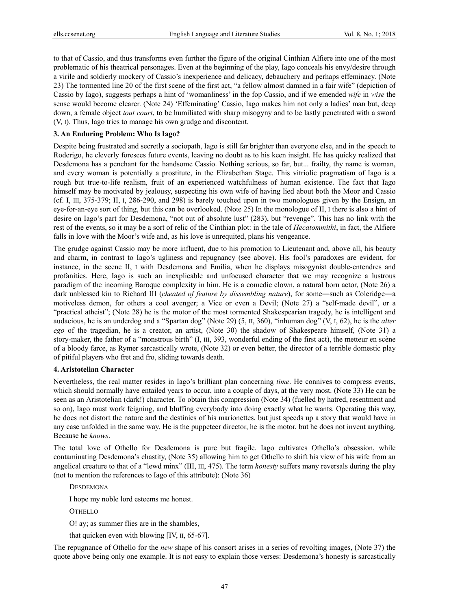to that of Cassio, and thus transforms even further the figure of the original Cinthian Alfiere into one of the most problematic of his theatrical personages. Even at the beginning of the play, Iago conceals his envy/desire through a virile and soldierly mockery of Cassio's inexperience and delicacy, debauchery and perhaps effeminacy. (Note 23) The tormented line 20 of the first scene of the first act, "a fellow almost damned in a fair wife" (depiction of Cassio by Iago), suggests perhaps a hint of 'womanliness' in the fop Cassio, and if we emended *wife* in *wise* the sense would become clearer. (Note 24) 'Effeminating' Cassio, Iago makes him not only a ladies' man but, deep down, a female object *tout court*, to be humiliated with sharp misogyny and to be lastly penetrated with a sword (V, I). Thus, Iago tries to manage his own grudge and discontent.

#### **3. An Enduring Problem: Who Is Iago?**

Despite being frustrated and secretly a sociopath, Iago is still far brighter than everyone else, and in the speech to Roderigo, he cleverly foresees future events, leaving no doubt as to his keen insight. He has quicky realized that Desdemona has a penchant for the handsome Cassio. Nothing serious, so far, but... frailty, thy name is woman, and every woman is potentially a prostitute, in the Elizabethan Stage. This vitriolic pragmatism of Iago is a rough but true-to-life realism, fruit of an experienced watchfulness of human existence. The fact that Iago himself may be motivated by jealousy, suspecting his own wife of having lied about both the Moor and Cassio (cf. I, III, 375-379; II, I, 286-290, and 298) is barely touched upon in two monologues given by the Ensign, an eye-for-an-eye sort of thing, but this can be overlooked. (Note 25) In the monologue of II, I there is also a hint of desire on Iago's part for Desdemona, "not out of absolute lust" (283), but "revenge". This has no link with the rest of the events, so it may be a sort of relic of the Cinthian plot: in the tale of *Hecatommithi*, in fact, the Alfiere falls in love with the Moor's wife and, as his love is unrequited, plans his vengeance.

The grudge against Cassio may be more influent, due to his promotion to Lieutenant and, above all, his beauty and charm, in contrast to Iago's ugliness and repugnancy (see above). His fool's paradoxes are evident, for instance, in the scene II, I with Desdemona and Emilia, when he displays misogynist double-entendres and profanities. Here, Iago is such an inexplicable and unfocused character that we may recognize a lustrous paradigm of the incoming Baroque complexity in him. He is a comedic clown, a natural born actor, (Note 26) a dark unblessed kin to Richard III (*cheated of feature by dissembling nature*), for some―such as Coleridge―a motiveless demon, for others a cool avenger; a Vice or even a Devil; (Note 27) a "self-made devil", or a "practical atheist"; (Note 28) he is the motor of the most tormented Shakespearian tragedy, he is intelligent and audacious, he is an underdog and a "Spartan dog" (Note 29) (5, II, 360), "inhuman dog" (V, I, 62), he is the *alter ego* of the tragedian, he is a creator, an artist, (Note 30) the shadow of Shakespeare himself, (Note 31) a story-maker, the father of a "monstrous birth" (I, III, 393, wonderful ending of the first act), the metteur en scène of a bloody farce, as Rymer sarcastically wrote, (Note 32) or even better, the director of a terrible domestic play of pitiful players who fret and fro, sliding towards death.

#### **4. Aristotelian Character**

Nevertheless, the real matter resides in Iago's brilliant plan concerning *time*. He connives to compress events, which should normally have entailed years to occur, into a couple of days, at the very most. (Note 33) He can be seen as an Aristotelian (dark!) character. To obtain this compression (Note 34) (fuelled by hatred, resentment and so on), Iago must work feigning, and bluffing everybody into doing exactly what he wants. Operating this way, he does not distort the nature and the destinies of his marionettes, but just speeds up a story that would have in any case unfolded in the same way. He is the puppeteer director, he is the motor, but he does not invent anything. Because he *knows*.

The total love of Othello for Desdemona is pure but fragile. Iago cultivates Othello's obsession, while contaminating Desdemona's chastity, (Note 35) allowing him to get Othello to shift his view of his wife from an angelical creature to that of a "lewd minx" (III, III, 475). The term *honesty* suffers many reversals during the play (not to mention the references to Iago of this attribute): (Note 36)

**DESDEMONA** 

I hope my noble lord esteems me honest.

**OTHELLO** 

O! ay; as summer flies are in the shambles,

that quicken even with blowing [IV, II, 65-67].

The repugnance of Othello for the *new* shape of his consort arises in a series of revolting images, (Note 37) the quote above being only one example. It is not easy to explain those verses: Desdemona's honesty is sarcastically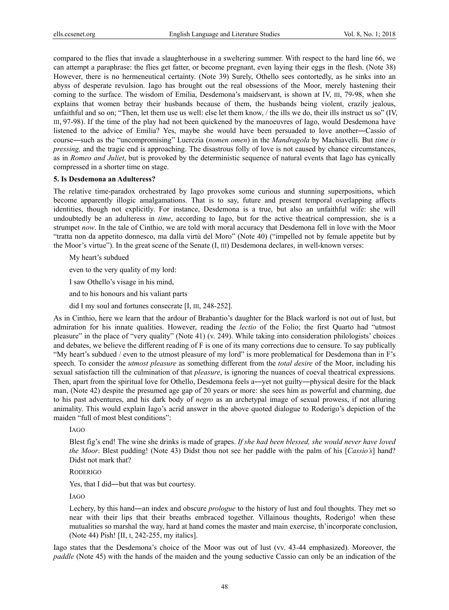compared to the flies that invade a slaughterhouse in a sweltering summer. With respect to the hard line 66, we can attempt a paraphrase: the flies get fatter, or become pregnant, even laying their eggs in the flesh. (Note 38) However, there is no hermeneutical certainty. (Note 39) Surely, Othello sees contortedly, as he sinks into an abyss of desperate revulsion. Iago has brought out the real obsessions of the Moor, merely hastening their coming to the surface. The wisdom of Emilia, Desdemona's maidservant, is shown at IV, III, 79-98, when she explains that women betray their husbands because of them, the husbands being violent, crazily jealous, unfaithful and so on; "Then, let them use us well: else let them know, / the ills we do, their ills instruct us so" (IV, III, 97-98). If the time of the play had not been quickened by the manoeuvres of Iago, would Desdemona have listened to the advice of Emilia? Yes, maybe she would have been persuaded to love another―Cassio of course―such as the "uncompromising" Lucrezia (*nomen omen*) in the *Mandragola* by Machiavelli. But *time is pressing,* and the tragic end is approaching. The disastrous folly of love is not caused by chance circumstances, as in *Romeo and Juliet*, but is provoked by the deterministic sequence of natural events that Iago has cynically compressed in a shorter time on stage.

#### **5. Is Desdemona an Adulteress?**

The relative time-paradox orchestrated by Iago provokes some curious and stunning superpositions, which become apparently illogic amalgamations. That is to say, future and present temporal overlapping affects identities, though not explicitly. For instance, Desdemona is a true, but also an unfaithful wife: she will undoubtedly be an adulteress in *time*, according to Iago, but for the active theatrical compression, she is a strumpet *now*. In the tale of Cinthio, we are told with moral accuracy that Desdemona fell in love with the Moor "tratta non da appetito donnesco, ma dalla virtù del Moro" (Note 40) ("impelled not by female appetite but by the Moor's virtue"). In the great scene of the Senate (I, III) Desdemona declares, in well-known verses:

My heart's subdued

even to the very quality of my lord:

I saw Othello's visage in his mind,

and to his honours and his valiant parts

did I my soul and fortunes consecrate [I, III, 248-252].

As in Cinthio, here we learn that the ardour of Brabantio's daughter for the Black warlord is not out of lust, but admiration for his innate qualities. However, reading the *lectio* of the Folio; the first Quarto had "utmost pleasure" in the place of "very quality" (Note 41) (v. 249). While taking into consideration philologists' choices and debates, we believe the different reading of F is one of its many corrections due to censure. To say publically "My heart's subdued / even to the utmost pleasure of my lord" is more problematical for Desdemona than in F's speech. To consider the *utmost pleasure* as something different from the *total desire* of the Moor, including his sexual satisfaction till the culmination of that *pleasure*, is ignoring the nuances of coeval theatrical expressions. Then, apart from the spiritual love for Othello, Desdemona feels a—yet not guilty—physical desire for the black man, (Note 42) despite the presumed age gap of 20 years or more: she sees him as powerful and charming, due to his past adventures, and his dark body of *negro* as an archetypal image of sexual prowess, if not alluring animality. This would explain Iago's acrid answer in the above quoted dialogue to Roderigo's depiction of the maiden "full of most blest conditions":

#### IAGO

Blest fig's end! The wine she drinks is made of grapes. *If she had been blessed, she would never have loved the Moor*. Blest pudding! (Note 43) Didst thou not see her paddle with the palm of his [*Cassio's*] hand? Didst not mark that?

#### RODERIGO

Yes, that I did-but that was but courtesy.

IAGO

Lechery, by this hand―an index and obscure *prologue* to the history of lust and foul thoughts. They met so near with their lips that their breaths embraced together. Villainous thoughts, Roderigo! when these mutualities so marshal the way, hard at hand comes the master and main exercise, th'incorporate conclusion, (Note 44) Pish! [II, I, 242-255, my italics].

Iago states that the Desdemona's choice of the Moor was out of lust (vv. 43-44 emphasized). Moreover, the *paddle* (Note 45) with the hands of the maiden and the young seductive Cassio can only be an indication of the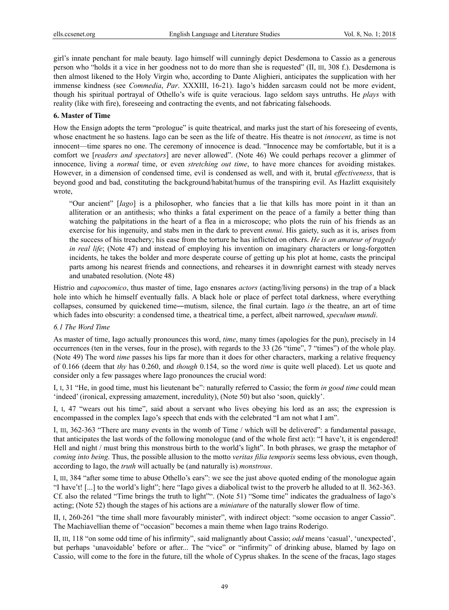girl's innate penchant for male beauty. Iago himself will cunningly depict Desdemona to Cassio as a generous person who "holds it a vice in her goodness not to do more than she is requested" (II, III, 308 f.). Desdemona is then almost likened to the Holy Virgin who, according to Dante Alighieri, anticipates the supplication with her immense kindness (see *Commedia*, *Par*. XXXIII, 16-21). Iago's hidden sarcasm could not be more evident, though his spiritual portrayal of Othello's wife is quite veracious. Iago seldom says untruths. He *plays* with reality (like with fire), foreseeing and contracting the events, and not fabricating falsehoods.

#### **6. Master of Time**

How the Ensign adopts the term "prologue" is quite theatrical, and marks just the start of his foreseeing of events, whose enactment he so hastens. Iago can be seen as the life of theatre. His theatre is not *innocent*, as time is not innocent—time spares no one. The ceremony of innocence is dead. "Innocence may be comfortable, but it is a comfort we [*readers and spectators*] are never allowed". (Note 46) We could perhaps recover a glimmer of innocence, living a *normal* time, or even *stretching out time*, to have more chances for avoiding mistakes. However, in a dimension of condensed time, evil is condensed as well, and with it, brutal *effectiveness*, that is beyond good and bad, constituting the background/habitat/humus of the transpiring evil. As Hazlitt exquisitely wrote,

"Our ancient" [*Iago*] is a philosopher, who fancies that a lie that kills has more point in it than an alliteration or an antithesis; who thinks a fatal experiment on the peace of a family a better thing than watching the palpitations in the heart of a flea in a microscope; who plots the ruin of his friends as an exercise for his ingenuity, and stabs men in the dark to prevent *ennui*. His gaiety, such as it is, arises from the success of his treachery; his ease from the torture he has inflicted on others. *He is an amateur of tragedy in real life*; (Note 47) and instead of employing his invention on imaginary characters or long-forgotten incidents, he takes the bolder and more desperate course of getting up his plot at home, casts the principal parts among his nearest friends and connections, and rehearses it in downright earnest with steady nerves and unabated resolution. (Note 48)

Histrio and *capocomico*, thus master of time, Iago ensnares *actors* (acting/living persons) in the trap of a black hole into which he himself eventually falls. A black hole or place of perfect total darkness, where everything collapses, consumed by quickened time―mutism, silence, the final curtain. Iago *is* the theatre, an art of time which fades into obscurity: a condensed time, a theatrical time, a perfect, albeit narrowed, *speculum mundi*.

#### *6.1 The Word Time*

As master of time, Iago actually pronounces this word, *time*, many times (apologies for the pun), precisely in 14 occurrences (ten in the verses, four in the prose), with regards to the 33 (26 "time", 7 "times") of the whole play. (Note 49) The word *time* passes his lips far more than it does for other characters, marking a relative frequency of 0.166 (deem that *thy* has 0.260, and *though* 0.154, so the word *time* is quite well placed). Let us quote and consider only a few passages where Iago pronounces the crucial word:

I, I, 31 "He, in good time, must his lieutenant be": naturally referred to Cassio; the form *in good time* could mean 'indeed' (ironical, expressing amazement, incredulity), (Note 50) but also 'soon, quickly'.

I, I, 47 "wears out his time", said about a servant who lives obeying his lord as an ass; the expression is encompassed in the complex Iago's speech that ends with the celebrated "I am not what I am".

I, III, 362-363 "There are many events in the womb of Time / which will be delivered": a fundamental passage, that anticipates the last words of the following monologue (and of the whole first act): "I have't, it is engendered! Hell and night / must bring this monstrous birth to the world's light". In both phrases, we grasp the metaphor of *coming into being*. Thus, the possible allusion to the motto *veritas filia temporis* seems less obvious, even though, according to Iago, the *truth* will actually be (and naturally is) *monstrous*.

I, III, 384 "after some time to abuse Othello's ears": we see the just above quoted ending of the monologue again "I have't! [...] to the world's light"; here "Iago gives a diabolical twist to the proverb he alluded to at ll. 362-363. Cf. also the related "Time brings the truth to light"". (Note 51) "Some time" indicates the gradualness of Iago's acting; (Note 52) though the stages of his actions are a *miniature* of the naturally slower flow of time.

II, I, 260-261 "the time shall more favourably minister", with indirect object: "some occasion to anger Cassio". The Machiavellian theme of "occasion" becomes a main theme when Iago trains Roderigo.

II, III, 118 "on some odd time of his infirmity", said malignantly about Cassio; *odd* means 'casual', 'unexpected', but perhaps 'unavoidable' before or after... The "vice" or "infirmity" of drinking abuse, blamed by Iago on Cassio, will come to the fore in the future, till the whole of Cyprus shakes. In the scene of the fracas, Iago stages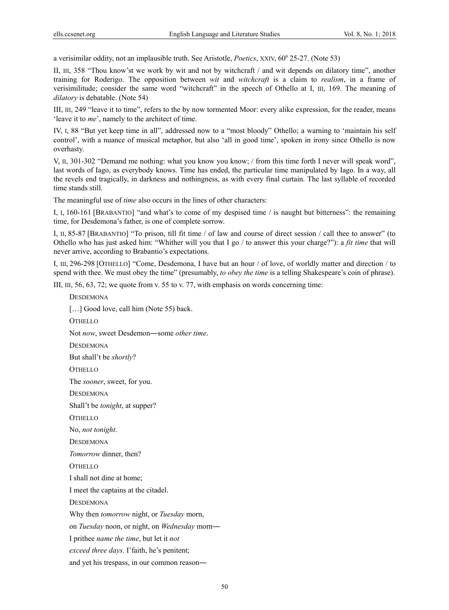a verisimilar oddity, not an implausible truth. See Aristotle, *Poetics*, XXIV, 60<sup>a</sup> 25-27. (Note 53)

II, III, 358 "Thou know'st we work by wit and not by witchcraft / and wit depends on dilatory time", another training for Roderigo. The opposition between *wit* and *witchcraft* is a claim to *realism*, in a frame of verisimilitude; consider the same word "witchcraft" in the speech of Othello at I, III, 169. The meaning of *dilatory* is debatable. (Note 54)

III, III, 249 "leave it to time", refers to the by now tormented Moor: every alike expression, for the reader, means 'leave it to *me*', namely to the architect of time.

IV, I, 88 "But yet keep time in all", addressed now to a "most bloody" Othello; a warning to 'maintain his self control', with a nuance of musical metaphor, but also 'all in good time', spoken in irony since Othello is now overhasty.

V, II, 301-302 "Demand me nothing: what you know you know; / from this time forth I never will speak word", last words of Iago, as everybody knows. Time has ended, the particular time manipulated by Iago. In a way, all the revels end tragically, in darkness and nothingness, as with every final curtain. The last syllable of recorded time stands still.

The meaningful use of *time* also occurs in the lines of other characters:

I, I, 160-161 [BRABANTIO] "and what's to come of my despised time / is naught but bitterness": the remaining time, for Desdemona's father, is one of complete sorrow.

I, II, 85-87 [BRABANTIO] "To prison, till fit time / of law and course of direct session / call thee to answer" (to Othello who has just asked him: "Whither will you that I go / to answer this your charge?"): a *fit time* that will never arrive, according to Brabantio's expectations.

I, III, 296-298 [OTHELLO] "Come, Desdemona, I have but an hour / of love, of worldly matter and direction / to spend with thee. We must obey the time" (presumably, *to obey the time* is a telling Shakespeare's coin of phrase).

III, III, 56, 63, 72; we quote from v. 55 to v. 77, with emphasis on words concerning time:

**DESDEMONA** [...] Good love, call him (Note 55) back. **OTHELLO** Not *now*, sweet Desdemon―some *other time*. **DESDEMONA** But shall't be *shortly*? **OTHELLO** The *sooner*, sweet, for you. **DESDEMONA** Shall't be *tonight*, at supper? **OTHELLO** No, *not tonight*. **DESDEMONA** *Tomorrow* dinner, then? **OTHELLO** I shall not dine at home; I meet the captains at the citadel. **DESDEMONA** Why then *tomorrow* night, or *Tuesday* morn, on *Tuesday* noon, or night, on *Wednesday* morn― I prithee *name the time*, but let it *not exceed three days*. I'faith, he's penitent; and yet his trespass, in our common reason―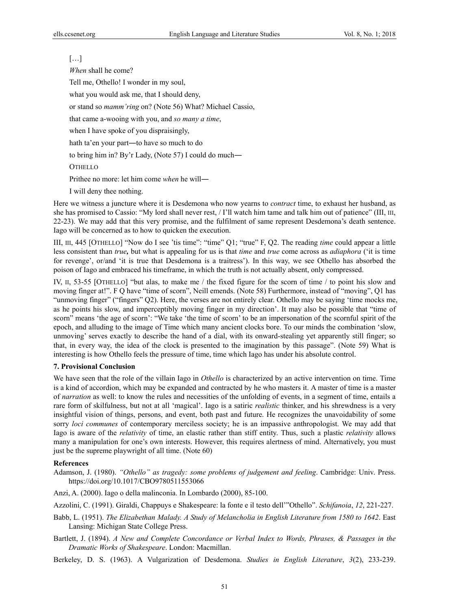# […]

*When* shall he come? Tell me, Othello! I wonder in my soul, what you would ask me, that I should deny, or stand so *mamm'ring* on? (Note 56) What? Michael Cassio, that came a-wooing with you, and *so many a time*, when I have spoke of you dispraisingly, hath ta'en your part—to have so much to do to bring him in? By'r Lady, (Note 57) I could do much― **OTHELLO** Prithee no more: let him come *when* he will―

I will deny thee nothing.

Here we witness a juncture where it is Desdemona who now yearns to *contract* time, to exhaust her husband, as she has promised to Cassio: "My lord shall never rest, / I'll watch him tame and talk him out of patience" (III, III, 22-23). We may add that this very promise, and the fulfilment of same represent Desdemona's death sentence. Iago will be concerned as to how to quicken the execution.

III, III, 445 [OTHELLO] "Now do I see 'tis time": "time" Q1; "true" F, Q2. The reading *time* could appear a little less consistent than *true,* but what is appealing for us is that *time* and *true* come across as *adiaphora* ('it is time for revenge', or/and 'it is true that Desdemona is a traitress'). In this way, we see Othello has absorbed the poison of Iago and embraced his timeframe, in which the truth is not actually absent, only compressed.

IV, II, 53-55 [OTHELLO] "but alas, to make me / the fixed figure for the scorn of time / to point his slow and moving finger at!". F Q have "time of scorn", Neill emends. (Note 58) Furthermore, instead of "moving", Q1 has "unmoving finger" ("fingers" Q2). Here, the verses are not entirely clear. Othello may be saying 'time mocks me, as he points his slow, and imperceptibly moving finger in my direction'. It may also be possible that "time of scorn" means 'the age of scorn': "We take 'the time of scorn' to be an impersonation of the scornful spirit of the epoch, and alluding to the image of Time which many ancient clocks bore. To our minds the combination 'slow, unmoving' serves exactly to describe the hand of a dial, with its onward-stealing yet apparently still finger; so that, in every way, the idea of the clock is presented to the imagination by this passage". (Note 59) What is interesting is how Othello feels the pressure of time, time which Iago has under his absolute control.

## **7. Provisional Conclusion**

We have seen that the role of the villain Iago in *Othello* is characterized by an active intervention on time. Time is a kind of accordion, which may be expanded and contracted by he who masters it. A master of time is a master of *narration* as well: to know the rules and necessities of the unfolding of events, in a segment of time, entails a rare form of skilfulness, but not at all 'magical'. Iago is a satiric *realistic* thinker, and his shrewdness is a very insightful vision of things, persons, and event, both past and future. He recognizes the unavoidability of some sorry *loci communes* of contemporary merciless society; he is an impassive anthropologist. We may add that Iago is aware of the *relativity* of time, an elastic rather than stiff entity. Thus, such a plastic *relativity* allows many a manipulation for one's own interests. However, this requires alertness of mind. Alternatively, you must just be the supreme playwright of all time. (Note 60)

## **References**

Adamson, J. (1980). *"Othello" as tragedy: some problems of judgement and feeling*. Cambridge: Univ. Press. https://doi.org/10.1017/CBO9780511553066

Anzi, A. (2000). Iago o della malinconia. In Lombardo (2000), 85-100.

Azzolini, C. (1991). Giraldi, Chappuys e Shakespeare: la fonte e il testo dell'"Othello". *Schifanoia*, *12*, 221-227.

Babb, L. (1951). *The Elizabethan Malady. A Study of Melancholia in English Literature from 1580 to 1642*. East Lansing: Michigan State College Press.

Bartlett, J. (1894). *A New and Complete Concordance or Verbal Index to Words, Phrases, & Passages in the Dramatic Works of Shakespeare*. London: Macmillan.

Berkeley, D. S. (1963). A Vulgarization of Desdemona. *Studies in English Literature*, *3*(2), 233-239.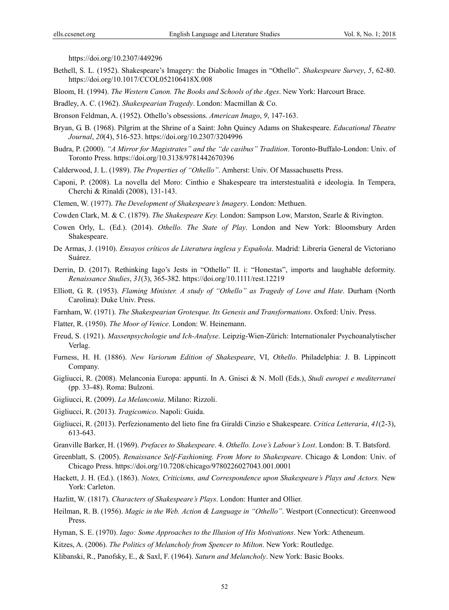https://doi.org/10.2307/449296

- Bethell, S. L. (1952). Shakespeare's Imagery: the Diabolic Images in "Othello". *Shakespeare Survey*, *5*, 62-80. https://doi.org/10.1017/CCOL052106418X.008
- Bloom, H. (1994). *The Western Canon. The Books and Schools of the Ages*. New York: Harcourt Brace.
- Bradley, A. C. (1962). *Shakespearian Tragedy*. London: Macmillan & Co.
- Bronson Feldman, A. (1952). Othello's obsessions. *American Imago*, *9*, 147-163.
- Bryan, G. B. (1968). Pilgrim at the Shrine of a Saint: John Quincy Adams on Shakespeare. *Educational Theatre Journal*, *20*(4), 516-523. https://doi.org/10.2307/3204996
- Budra, P. (2000). *"A Mirror for Magistrates" and the "de casibus" Tradition*. Toronto-Buffalo-London: Univ. of Toronto Press. https://doi.org/10.3138/9781442670396
- Calderwood, J. L. (1989). *The Properties of "Othello"*. Amherst: Univ. Of Massachusetts Press.
- Caponi, P. (2008). La novella del Moro: Cinthio e Shakespeare tra interstestualità e ideologia. In Tempera, Cherchi & Rinaldi (2008), 131-143.
- Clemen, W. (1977). *The Development of Shakespeare's Imagery*. London: Methuen.
- Cowden Clark, M. & C. (1879). *The Shakespeare Key.* London: Sampson Low, Marston, Searle & Rivington.
- Cowen Orly, L. (Ed.). (2014). *Othello. The State of Play*. London and New York: Bloomsbury Arden Shakespeare.
- De Armas, J. (1910). *Ensayos críticos de Literatura inglesa y Española*. Madrid: Librería General de Victoriano Suárez.
- Derrin, D. (2017). Rethinking Iago's Jests in "Othello" II. i: "Honestas", imports and laughable deformity. *Renaissance Studies*, *31*(3), 365-382. https://doi.org/10.1111/rest.12219
- Elliott, G. R. (1953). *Flaming Minister. A study of "Othello" as Tragedy of Love and Hate*. Durham (North Carolina): Duke Univ. Press.
- Farnham, W. (1971). *The Shakespearian Grotesque. Its Genesis and Transformations*. Oxford: Univ. Press.
- Flatter, R. (1950). *The Moor of Venice*. London: W. Heinemann.
- Freud, S. (1921). *Massenpsychologie und Ich-Analyse*. Leipzig-Wien-Zürich: Internationaler Psychoanalytischer Verlag.
- Furness, H. H. (1886). *New Variorum Edition of Shakespeare*, VI, *Othello*. Philadelphia: J. B. Lippincott Company.
- Gigliucci, R. (2008). Melanconia Europa: appunti. In A. Gnisci & N. Moll (Eds.), *Studi europei e mediterranei*  (pp. 33-48). Roma: Bulzoni.
- Gigliucci, R. (2009). *La Melanconia*. Milano: Rizzoli.
- Gigliucci, R. (2013). *Tragicomico*. Napoli: Guida.
- Gigliucci, R. (2013). Perfezionamento del lieto fine fra Giraldi Cinzio e Shakespeare. *Critica Letteraria*, *41*(2-3), 613-643.
- Granville Barker, H. (1969). *Prefaces to Shakespeare*. 4. *Othello. Love's Labour's Lost*. London: B. T. Batsford.
- Greenblatt, S. (2005). *Renaissance Self-Fashioning. From More to Shakespeare*. Chicago & London: Univ. of Chicago Press. https://doi.org/10.7208/chicago/9780226027043.001.0001
- Hackett, J. H. (Ed.). (1863). *Notes, Criticisms, and Correspondence upon Shakespeare's Plays and Actors.* New York: Carleton.
- Hazlitt, W. (1817). *Characters of Shakespeare's Plays*. London: Hunter and Ollier.
- Heilman, R. B. (1956). *Magic in the Web. Action & Language in "Othello"*. Westport (Connecticut): Greenwood Press.
- Hyman, S. E. (1970). *Iago: Some Approaches to the Illusion of His Motivations*. New York: Atheneum.
- Kitzes, A. (2006). *The Politics of Melancholy from Spencer to Milton*. New York: Routledge.
- Klibanski, R., Panofsky, E., & Saxl, F. (1964). *Saturn and Melancholy*. New York: Basic Books.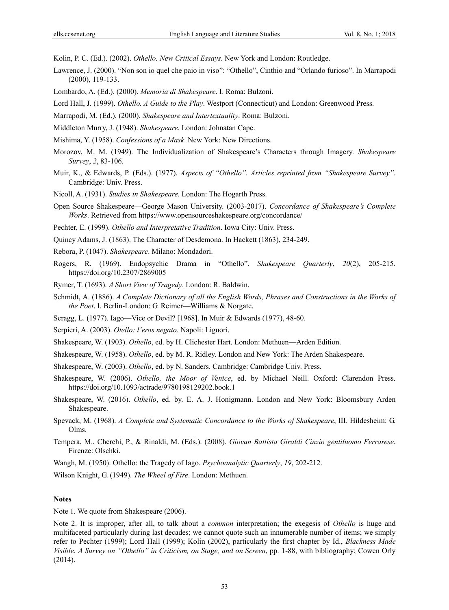Kolin, P. C. (Ed.). (2002). *Othello. New Critical Essays*. New York and London: Routledge.

- Lawrence, J. (2000). "Non son io quel che paio in viso": "Othello", Cinthio and "Orlando furioso". In Marrapodi (2000), 119-133.
- Lombardo, A. (Ed.). (2000). *Memoria di Shakespeare*. I. Roma: Bulzoni.
- Lord Hall, J. (1999). *Othello. A Guide to the Play*. Westport (Connecticut) and London: Greenwood Press.
- Marrapodi, M. (Ed.). (2000). *Shakespeare and Intertextuality*. Roma: Bulzoni.
- Middleton Murry, J. (1948). *Shakespeare*. London: Johnatan Cape.
- Mishima, Y. (1958). *Confessions of a Mask*. New York: New Directions.
- Morozov, M. M. (1949). The Individualization of Shakespeare's Characters through Imagery. *Shakespeare Survey*, *2*, 83-106.
- Muir, K., & Edwards, P. (Eds.). (1977). *Aspects of "Othello". Articles reprinted from "Shakespeare Survey"*. Cambridge: Univ. Press.
- Nicoll, A. (1931). *Studies in Shakespeare*. London: The Hogarth Press.
- Open Source Shakespeare—George Mason University. (2003-2017). *Concordance of Shakespeare's Complete Works*. Retrieved from https://www.opensourceshakespeare.org/concordance/
- Pechter, E. (1999). *Othello and Interpretative Tradition*. Iowa City: Univ. Press.
- Quincy Adams, J. (1863). The Character of Desdemona. In Hackett (1863), 234-249.
- Rebora, P. (1047). *Shakespeare*. Milano: Mondadori.
- Rogers, R. (1969). Endopsychic Drama in "Othello". *Shakespeare Quarterly*, *20*(2), 205-215. https://doi.org/10.2307/2869005
- Rymer, T. (1693). *A Short View of Tragedy*. London: R. Baldwin.
- Schmidt, A. (1886). *A Complete Dictionary of all the English Words, Phrases and Constructions in the Works of the Poet*. I. Berlin-London: G. Reimer—Williams & Norgate.
- Scragg, L. (1977). Iago—Vice or Devil? [1968]. In Muir & Edwards (1977), 48-60.
- Serpieri, A. (2003). *Otello: l'eros negato*. Napoli: Liguori.
- Shakespeare, W. (1903). *Othello*, ed. by H. Clichester Hart. London: Methuen—Arden Edition.

Shakespeare, W. (1958). *Othello*, ed. by M. R. Ridley. London and New York: The Arden Shakespeare.

- Shakespeare, W. (2003). *Othello*, ed. by N. Sanders. Cambridge: Cambridge Univ. Press.
- Shakespeare, W. (2006). *Othello, the Moor of Venice*, ed. by Michael Neill. Oxford: Clarendon Press. https://doi.org/10.1093/actrade/9780198129202.book.1
- Shakespeare, W. (2016). *Othello*, ed. by. E. A. J. Honigmann. London and New York: Bloomsbury Arden Shakespeare.
- Spevack, M. (1968). *A Complete and Systematic Concordance to the Works of Shakespeare*, III. Hildesheim: G. Olms.
- Tempera, M., Cherchi, P., & Rinaldi, M. (Eds.). (2008). *Giovan Battista Giraldi Cinzio gentiluomo Ferrarese*. Firenze: Olschki.

Wangh, M. (1950). Othello: the Tragedy of Iago. *Psychoanalytic Quarterly*, *19*, 202-212.

Wilson Knight, G. (1949). *The Wheel of Fire*. London: Methuen.

#### **Notes**

Note 1. We quote from Shakespeare (2006).

Note 2. It is improper, after all, to talk about a *common* interpretation; the exegesis of *Othello* is huge and multifaceted particularly during last decades; we cannot quote such an innumerable number of items; we simply refer to Pechter (1999); Lord Hall (1999); Kolin (2002), particularly the first chapter by Id., *Blackness Made Visible. A Survey on "Othello" in Criticism, on Stage, and on Screen*, pp. 1-88, with bibliography; Cowen Orly (2014).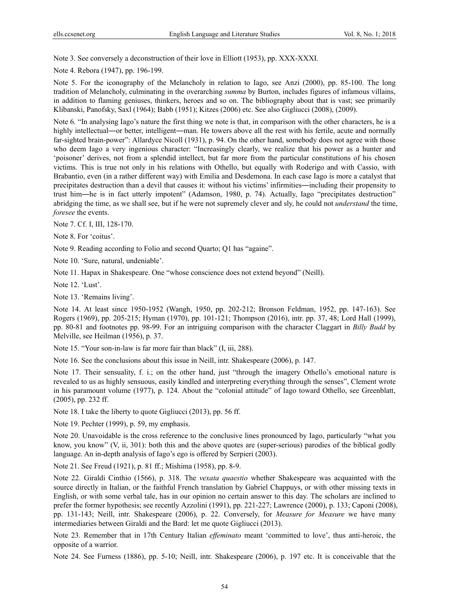Note 3. See conversely a deconstruction of their love in Elliott (1953), pp. XXX-XXXI.

Note 4. Rebora (1947), pp. 196-199.

Note 5. For the iconography of the Melancholy in relation to Iago, see Anzi (2000), pp. 85-100. The long tradition of Melancholy, culminating in the overarching *summa* by Burton, includes figures of infamous villains, in addition to flaming geniuses, thinkers, heroes and so on. The bibliography about that is vast; see primarily Klibanski, Panofsky, Saxl (1964); Babb (1951); Kitzes (2006) etc. See also Gigliucci (2008), (2009).

Note 6. "In analysing Iago's nature the first thing we note is that, in comparison with the other characters, he is a highly intellectual—or better, intelligent—man. He towers above all the rest with his fertile, acute and normally far-sighted brain-power": Allardyce Nicoll (1931), p. 94. On the other hand, somebody does not agree with those who deem Iago a very ingenious character: "Increasingly clearly, we realize that his power as a hunter and 'poisoner' derives, not from a splendid intellect, but far more from the particular constitutions of his chosen victims. This is true not only in his relations with Othello, but equally with Roderigo and with Cassio, with Brabantio, even (in a rather different way) with Emilia and Desdemona. In each case Iago is more a catalyst that precipitates destruction than a devil that causes it: without his victims' infirmities―including their propensity to trust him―he is in fact utterly impotent" (Adamson, 1980, p. 74). Actually, Iago "precipitates destruction" abridging the time, as we shall see, but if he were not supremely clever and sly, he could not *understand* the time, *foresee* the events.

Note 7. Cf. I, III, 128-170.

Note 8. For 'coitus'.

Note 9. Reading according to Folio and second Quarto; Q1 has "againe".

Note 10. 'Sure, natural, undeniable'.

Note 11. Hapax in Shakespeare. One "whose conscience does not extend beyond" (Neill).

Note 12. 'Lust'.

Note 13. 'Remains living'.

Note 14. At least since 1950-1952 (Wangh, 1950, pp. 202-212; Bronson Feldman, 1952, pp. 147-163). See Rogers (1969), pp. 205-215; Hyman (1970), pp. 101-121; Thompson (2016), intr. pp. 37, 48; Lord Hall (1999), pp. 80-81 and footnotes pp. 98-99. For an intriguing comparison with the character Claggart in *Billy Budd* by Melville, see Heilman (1956), p. 37.

Note 15. "Your son-in-law is far more fair than black" (I, iii, 288).

Note 16. See the conclusions about this issue in Neill, intr. Shakespeare (2006), p. 147.

Note 17. Their sensuality, f. i.; on the other hand, just "through the imagery Othello's emotional nature is revealed to us as highly sensuous, easily kindled and interpreting everything through the senses", Clement wrote in his paramount volume (1977), p. 124. About the "colonial attitude" of Iago toward Othello, see Greenblatt, (2005), pp. 232 ff.

Note 18. I take the liberty to quote Gigliucci (2013), pp. 56 ff.

Note 19. Pechter (1999), p. 59, my emphasis.

Note 20. Unavoidable is the cross reference to the conclusive lines pronounced by Iago, particularly "what you know, you know" (V, ii, 301): both this and the above quotes are (super-serious) parodies of the biblical godly language. An in-depth analysis of Iago's ego is offered by Serpieri (2003).

Note 21. See Freud (1921), p. 81 ff.; Mishima (1958), pp. 8-9.

Note 22. Giraldi Cinthio (1566), p. 318. The *vexata quaestio* whether Shakespeare was acquainted with the source directly in Italian, or the faithful French translation by Gabriel Chappuys, or with other missing texts in English, or with some verbal tale, has in our opinion no certain answer to this day. The scholars are inclined to prefer the former hypothesis; see recently Azzolini (1991), pp. 221-227; Lawrence (2000), p. 133; Caponi (2008), pp. 131-143; Neill, intr. Shakespeare (2006), p. 22. Conversely, for *Measure for Measure* we have many intermediaries between Giraldi and the Bard: let me quote Gigliucci (2013).

Note 23. Remember that in 17th Century Italian *effeminato* meant 'committed to love', thus anti-heroic, the opposite of a warrior.

Note 24. See Furness (1886), pp. 5-10; Neill, intr. Shakespeare (2006), p. 197 etc. It is conceivable that the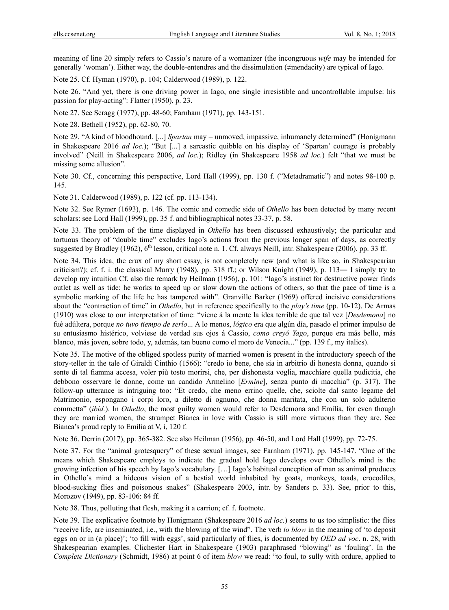meaning of line 20 simply refers to Cassio's nature of a womanizer (the incongruous *wife* may be intended for generally 'woman'). Either way, the double-entendres and the dissimulation (≠mendacity) are typical of Iago.

Note 25. Cf. Hyman (1970), p. 104; Calderwood (1989), p. 122.

Note 26. "And yet, there is one driving power in Iago, one single irresistible and uncontrollable impulse: his passion for play-acting": Flatter (1950), p. 23.

Note 27. See Scragg (1977), pp. 48-60; Farnham (1971), pp. 143-151.

Note 28. Bethell (1952), pp. 62-80, 70.

Note 29. "A kind of bloodhound. [...] *Spartan* may = unmoved, impassive, inhumanely determined" (Honigmann in Shakespeare 2016 *ad loc.*); "But [...] a sarcastic quibble on his display of 'Spartan' courage is probably involved" (Neill in Shakespeare 2006, *ad loc.*); Ridley (in Shakespeare 1958 *ad loc.*) felt "that we must be missing some allusion".

Note 30. Cf., concerning this perspective, Lord Hall (1999), pp. 130 f. ("Metadramatic") and notes 98-100 p. 145.

Note 31. Calderwood (1989), p. 122 (cf. pp. 113-134).

Note 32. See Rymer (1693), p. 146. The comic and comedic side of *Othello* has been detected by many recent scholars: see Lord Hall (1999), pp. 35 f. and bibliographical notes 33-37, p. 58.

Note 33. The problem of the time displayed in *Othello* has been discussed exhaustively; the particular and tortuous theory of "double time" excludes Iago's actions from the previous longer span of days, as correctly suggested by Bradley (1962),  $6<sup>th</sup>$  lesson, critical note n. 1. Cf. always Neill, intr. Shakespeare (2006), pp. 33 ff.

Note 34. This idea, the crux of my short essay, is not completely new (and what is like so, in Shakespearian criticism?); cf. f. i. the classical Murry (1948), pp. 318 ff.; or Wilson Knight (1949), p. 113― I simply try to develop my intuition Cf. also the remark by Heilman (1956), p. 101: "Iago's instinct for destructive power finds outlet as well as tide: he works to speed up or slow down the actions of others, so that the pace of time is a symbolic marking of the life he has tampered with". Granville Barker (1969) offered incisive considerations about the "contraction of time" in *Othello*, but in reference specifically to the *play's time* (pp. 10-12). De Armas (1910) was close to our interpretation of time: "viene á la mente la idea terrible de que tal vez [*Desdemona*] no fué adúltera, porque *no tuvo tiempo de serlo*... A lo menos, *lógico* era que algún día, pasado el primer impulso de su entusiasmo histérico, volviese de verdad sus ojos á Cassio, *como creyó Yago*, porque era más bello, más blanco, más joven, sobre todo, y, además, tan bueno como el moro de Venecia..." (pp. 139 f., my italics).

Note 35. The motive of the obliged spotless purity of married women is present in the introductory speech of the story-teller in the tale of Giraldi Cinthio (1566): "credo io bene, che sia in arbitrio di honesta donna, quando si sente di tal fiamma accesa, voler più tosto morirsi, che, per dishonesta voglia, macchiare quella pudicitia, che debbono osservare le donne, come un candido Armelino [*Ermine*], senza punto di macchia" (p. 317). The follow-up utterance is intriguing too: "Et credo, che meno errino quelle, che, sciolte dal santo legame del Matrimonio, espongano i corpi loro, a diletto di ognuno, che donna maritata, che con un solo adulterio commetta" (*ibid.*). In *Othello*, the most guilty women would refer to Desdemona and Emilia, for even though they are married women, the strumpet Bianca in love with Cassio is still more virtuous than they are. See Bianca's proud reply to Emilia at V, i, 120 f.

Note 36. Derrin (2017), pp. 365-382. See also Heilman (1956), pp. 46-50, and Lord Hall (1999), pp. 72-75.

Note 37. For the "animal grotesquery" of these sexual images, see Farnham (1971), pp. 145-147. "One of the means which Shakespeare employs to indicate the gradual hold Iago develops over Othello's mind is the growing infection of his speech by Iago's vocabulary. […] Iago's habitual conception of man as animal produces in Othello's mind a hideous vision of a bestial world inhabited by goats, monkeys, toads, crocodiles, blood-sucking flies and poisonous snakes" (Shakespeare 2003, intr. by Sanders p. 33). See, prior to this, Morozov (1949), pp. 83-106: 84 ff.

Note 38. Thus, polluting that flesh, making it a carrion; cf. f. footnote.

Note 39. The explicative footnote by Honigmann (Shakespeare 2016 *ad loc.*) seems to us too simplistic: the flies "receive life, are inseminated, i.e., with the blowing of the wind". The verb *to blow* in the meaning of 'to deposit eggs on or in (a place)'; 'to fill with eggs', said particularly of flies, is documented by *OED ad voc*. n. 28, with Shakespearian examples. Clichester Hart in Shakespeare (1903) paraphrased "blowing" as 'fouling'. In the *Complete Dictionary* (Schmidt, 1986) at point 6 of item *blow* we read: "to foul, to sully with ordure, applied to